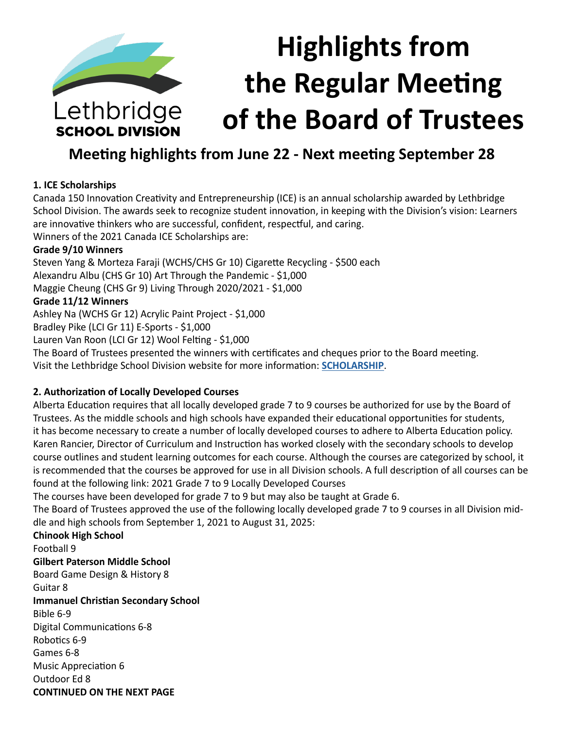

**SCHOOL DIVISION** 

# **Highlights from the Regular Meeting of the Board of Trustees**

# **Meeting highlights from June 22 - Next meeting September 28**

# **1. ICE Scholarships**

Canada 150 Innovation Creativity and Entrepreneurship (ICE) is an annual scholarship awarded by Lethbridge School Division. The awards seek to recognize student innovation, in keeping with the Division's vision: Learners are innovative thinkers who are successful, confident, respectful, and caring.

Winners of the 2021 Canada ICE Scholarships are:

# **Grade 9/10 Winners**

Steven Yang & Morteza Faraji (WCHS/CHS Gr 10) Cigarette Recycling - \$500 each Alexandru Albu (CHS Gr 10) Art Through the Pandemic - \$1,000 Maggie Cheung (CHS Gr 9) Living Through 2020/2021 - \$1,000 **Grade 11/12 Winners**

Ashley Na (WCHS Gr 12) Acrylic Paint Project - \$1,000 Bradley Pike (LCI Gr 11) E-Sports - \$1,000

Lauren Van Roon (LCI Gr 12) Wool Felting - \$1,000

The Board of Trustees presented the winners with certificates and cheques prior to the Board meeting. Visit the Lethbridge School Division website for more information: **[SCHOLARSHIP](https://www.lethsd.ab.ca/our-district/news/post/division-names-canada-150-ice-awards-scholarship-winners-for-2021)**.

# **2. Authorization of Locally Developed Courses**

Alberta Education requires that all locally developed grade 7 to 9 courses be authorized for use by the Board of Trustees. As the middle schools and high schools have expanded their educational opportunities for students, it has become necessary to create a number of locally developed courses to adhere to Alberta Education policy. Karen Rancier, Director of Curriculum and Instruction has worked closely with the secondary schools to develop course outlines and student learning outcomes for each course. Although the courses are categorized by school, it is recommended that the courses be approved for use in all Division schools. A full description of all courses can be found at the following link: 2021 Grade 7 to 9 Locally Developed Courses

The courses have been developed for grade 7 to 9 but may also be taught at Grade 6.

The Board of Trustees approved the use of the following locally developed grade 7 to 9 courses in all Division middle and high schools from September 1, 2021 to August 31, 2025:

**Chinook High School** Football 9 **Gilbert Paterson Middle School** Board Game Design & History 8 Guitar 8 **Immanuel Christian Secondary School** Bible 6-9 Digital Communications 6-8 Robotics 6-9 Games 6-8 Music Appreciation 6 Outdoor Ed 8 **CONTINUED ON THE NEXT PAGE**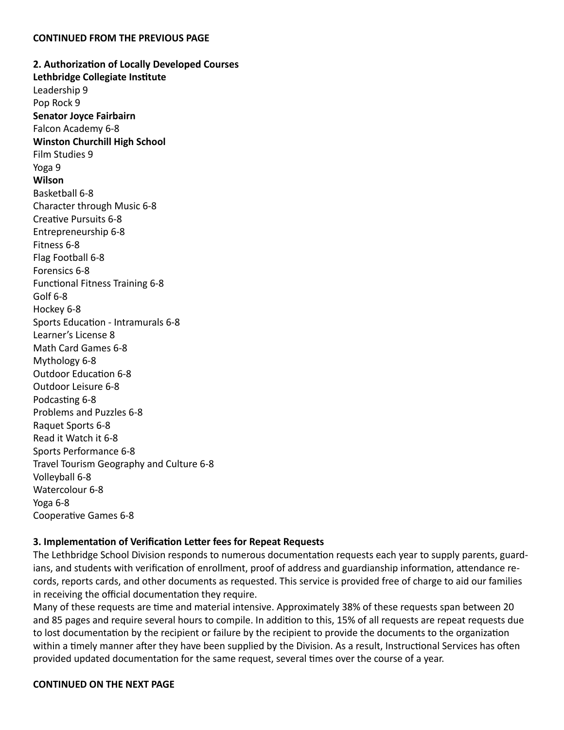**2. Authorization of Locally Developed Courses Lethbridge Collegiate Institute** Leadership 9 Pop Rock 9 **Senator Joyce Fairbairn** Falcon Academy 6-8 **Winston Churchill High School** Film Studies 9 Yoga 9 **Wilson** Basketball 6-8 Character through Music 6-8 Creative Pursuits 6-8 Entrepreneurship 6-8 Fitness 6-8 Flag Football 6-8 Forensics 6-8 Functional Fitness Training 6-8 Golf 6-8 Hockey 6-8 Sports Education - Intramurals 6-8 Learner's License 8 Math Card Games 6-8 Mythology 6-8 Outdoor Education 6-8 Outdoor Leisure 6-8 Podcasting 6-8 Problems and Puzzles 6-8 Raquet Sports 6-8 Read it Watch it 6-8 Sports Performance 6-8 Travel Tourism Geography and Culture 6-8 Volleyball 6-8 Watercolour 6-8 Yoga 6-8 Cooperative Games 6-8

#### **3. Implementation of Verification Letter fees for Repeat Requests**

The Lethbridge School Division responds to numerous documentation requests each year to supply parents, guardians, and students with verification of enrollment, proof of address and guardianship information, attendance records, reports cards, and other documents as requested. This service is provided free of charge to aid our families in receiving the official documentation they require.

Many of these requests are time and material intensive. Approximately 38% of these requests span between 20 and 85 pages and require several hours to compile. In addition to this, 15% of all requests are repeat requests due to lost documentation by the recipient or failure by the recipient to provide the documents to the organization within a timely manner after they have been supplied by the Division. As a result, Instructional Services has often provided updated documentation for the same request, several times over the course of a year.

#### **CONTINUED ON THE NEXT PAGE**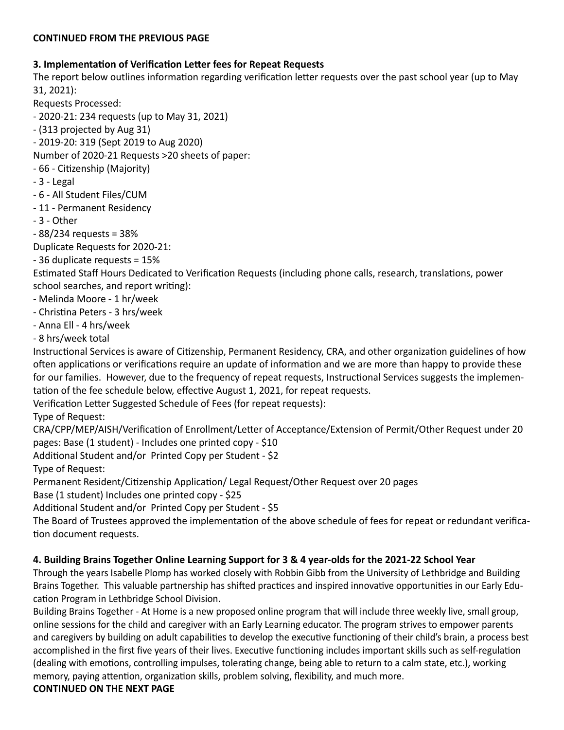# **3. Implementation of Verification Letter fees for Repeat Requests**

The report below outlines information regarding verification letter requests over the past school year (up to May 31, 2021):

Requests Processed:

- 2020-21: 234 requests (up to May 31, 2021)

- (313 projected by Aug 31)
- 2019-20: 319 (Sept 2019 to Aug 2020)

Number of 2020-21 Requests >20 sheets of paper:

- 66 Citizenship (Majority)
- 3 Legal
- 6 All Student Files/CUM
- 11 Permanent Residency
- 3 Other
- 88/234 requests = 38%

Duplicate Requests for 2020-21:

- 36 duplicate requests = 15%

Estimated Staff Hours Dedicated to Verification Requests (including phone calls, research, translations, power school searches, and report writing):

- Melinda Moore 1 hr/week
- Christina Peters 3 hrs/week
- Anna Ell 4 hrs/week

- 8 hrs/week total

Instructional Services is aware of Citizenship, Permanent Residency, CRA, and other organization guidelines of how often applications or verifications require an update of information and we are more than happy to provide these for our families. However, due to the frequency of repeat requests, Instructional Services suggests the implementation of the fee schedule below, effective August 1, 2021, for repeat requests.

Verification Letter Suggested Schedule of Fees (for repeat requests):

Type of Request:

CRA/CPP/MEP/AISH/Verification of Enrollment/Letter of Acceptance/Extension of Permit/Other Request under 20 pages: Base (1 student) - Includes one printed copy - \$10

Additional Student and/or Printed Copy per Student - \$2

Type of Request:

Permanent Resident/Citizenship Application/ Legal Request/Other Request over 20 pages

Base (1 student) Includes one printed copy - \$25

Additional Student and/or Printed Copy per Student - \$5

The Board of Trustees approved the implementation of the above schedule of fees for repeat or redundant verification document requests.

# **4. Building Brains Together Online Learning Support for 3 & 4 year-olds for the 2021-22 School Year**

Through the years Isabelle Plomp has worked closely with Robbin Gibb from the University of Lethbridge and Building Brains Together. This valuable partnership has shifted practices and inspired innovative opportunities in our Early Education Program in Lethbridge School Division.

Building Brains Together - At Home is a new proposed online program that will include three weekly live, small group, online sessions for the child and caregiver with an Early Learning educator. The program strives to empower parents and caregivers by building on adult capabilities to develop the executive functioning of their child's brain, a process best accomplished in the first five years of their lives. Executive functioning includes important skills such as self-regulation (dealing with emotions, controlling impulses, tolerating change, being able to return to a calm state, etc.), working memory, paying attention, organization skills, problem solving, flexibility, and much more.

**CONTINUED ON THE NEXT PAGE**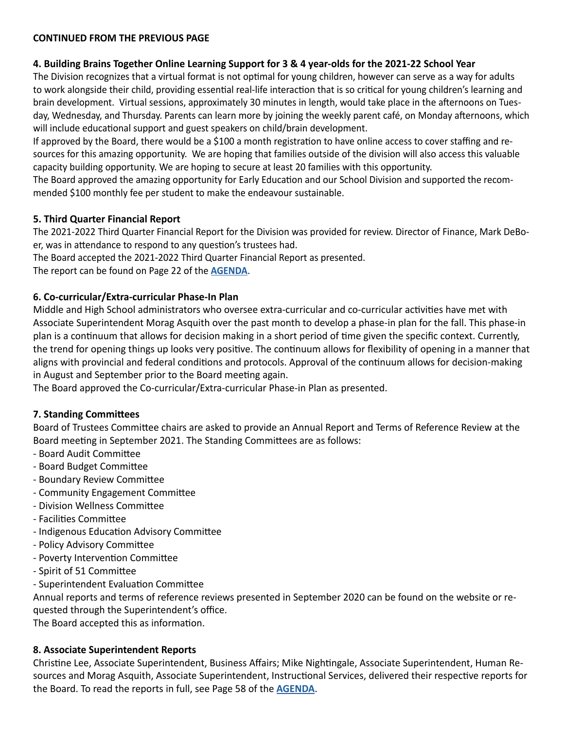# **4. Building Brains Together Online Learning Support for 3 & 4 year-olds for the 2021-22 School Year**

The Division recognizes that a virtual format is not optimal for young children, however can serve as a way for adults to work alongside their child, providing essential real-life interaction that is so critical for young children's learning and brain development. Virtual sessions, approximately 30 minutes in length, would take place in the afternoons on Tuesday, Wednesday, and Thursday. Parents can learn more by joining the weekly parent café, on Monday afternoons, which will include educational support and guest speakers on child/brain development.

If approved by the Board, there would be a \$100 a month registration to have online access to cover staffing and resources for this amazing opportunity. We are hoping that families outside of the division will also access this valuable capacity building opportunity. We are hoping to secure at least 20 families with this opportunity.

The Board approved the amazing opportunity for Early Education and our School Division and supported the recommended \$100 monthly fee per student to make the endeavour sustainable.

# **5. Third Quarter Financial Report**

The 2021-2022 Third Quarter Financial Report for the Division was provided for review. Director of Finance, Mark DeBoer, was in attendance to respond to any question's trustees had.

The Board accepted the 2021-2022 Third Quarter Financial Report as presented.

The report can be found on Page 22 of the **[AGENDA](https://www.lethsd.ab.ca/download/354623)**.

# **6. Co-curricular/Extra-curricular Phase-In Plan**

Middle and High School administrators who oversee extra-curricular and co-curricular activities have met with Associate Superintendent Morag Asquith over the past month to develop a phase-in plan for the fall. This phase-in plan is a continuum that allows for decision making in a short period of time given the specific context. Currently, the trend for opening things up looks very positive. The continuum allows for flexibility of opening in a manner that aligns with provincial and federal conditions and protocols. Approval of the continuum allows for decision-making in August and September prior to the Board meeting again.

The Board approved the Co-curricular/Extra-curricular Phase-in Plan as presented.

# **7. Standing Committees**

Board of Trustees Committee chairs are asked to provide an Annual Report and Terms of Reference Review at the Board meeting in September 2021. The Standing Committees are as follows:

- Board Audit Committee
- Board Budget Committee
- Boundary Review Committee
- Community Engagement Committee
- Division Wellness Committee
- Facilities Committee
- Indigenous Education Advisory Committee
- Policy Advisory Committee
- Poverty Intervention Committee
- Spirit of 51 Committee
- Superintendent Evaluation Committee

Annual reports and terms of reference reviews presented in September 2020 can be found on the website or requested through the Superintendent's office.

The Board accepted this as information.

# **8. Associate Superintendent Reports**

Christine Lee, Associate Superintendent, Business Affairs; Mike Nightingale, Associate Superintendent, Human Resources and Morag Asquith, Associate Superintendent, Instructional Services, delivered their respective reports for the Board. To read the reports in full, see Page 58 of the **[AGENDA](https://www.lethsd.ab.ca/download/354623)**.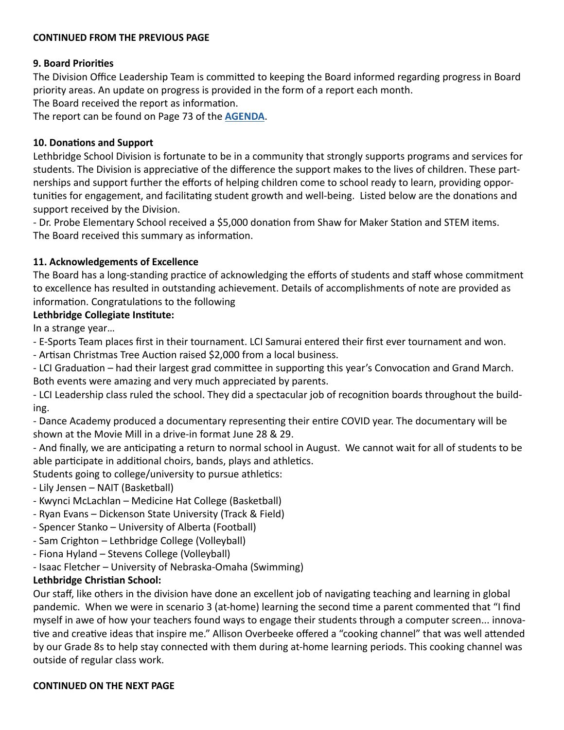### **9. Board Priorities**

The Division Office Leadership Team is committed to keeping the Board informed regarding progress in Board priority areas. An update on progress is provided in the form of a report each month.

The Board received the report as information.

The report can be found on Page 73 of the **[AGENDA](https://www.lethsd.ab.ca/download/354623)**.

### **10. Donations and Support**

Lethbridge School Division is fortunate to be in a community that strongly supports programs and services for students. The Division is appreciative of the difference the support makes to the lives of children. These partnerships and support further the efforts of helping children come to school ready to learn, providing opportunities for engagement, and facilitating student growth and well-being. Listed below are the donations and support received by the Division.

- Dr. Probe Elementary School received a \$5,000 donation from Shaw for Maker Station and STEM items. The Board received this summary as information.

# **11. Acknowledgements of Excellence**

The Board has a long-standing practice of acknowledging the efforts of students and staff whose commitment to excellence has resulted in outstanding achievement. Details of accomplishments of note are provided as information. Congratulations to the following

#### **Lethbridge Collegiate Institute:**

In a strange year…

- E-Sports Team places first in their tournament. LCI Samurai entered their first ever tournament and won.

- Artisan Christmas Tree Auction raised \$2,000 from a local business.

- LCI Graduation – had their largest grad committee in supporting this year's Convocation and Grand March. Both events were amazing and very much appreciated by parents.

- LCI Leadership class ruled the school. They did a spectacular job of recognition boards throughout the building.

- Dance Academy produced a documentary representing their entire COVID year. The documentary will be shown at the Movie Mill in a drive-in format June 28 & 29.

- And finally, we are anticipating a return to normal school in August. We cannot wait for all of students to be able participate in additional choirs, bands, plays and athletics.

Students going to college/university to pursue athletics:

- Lily Jensen NAIT (Basketball)
- Kwynci McLachlan Medicine Hat College (Basketball)
- Ryan Evans Dickenson State University (Track & Field)
- Spencer Stanko University of Alberta (Football)
- Sam Crighton Lethbridge College (Volleyball)
- Fiona Hyland Stevens College (Volleyball)
- Isaac Fletcher University of Nebraska-Omaha (Swimming)

# **Lethbridge Christian School:**

Our staff, like others in the division have done an excellent job of navigating teaching and learning in global pandemic. When we were in scenario 3 (at-home) learning the second time a parent commented that "I find myself in awe of how your teachers found ways to engage their students through a computer screen... innovative and creative ideas that inspire me." Allison Overbeeke offered a "cooking channel" that was well attended by our Grade 8s to help stay connected with them during at-home learning periods. This cooking channel was outside of regular class work.

#### **CONTINUED ON THE NEXT PAGE**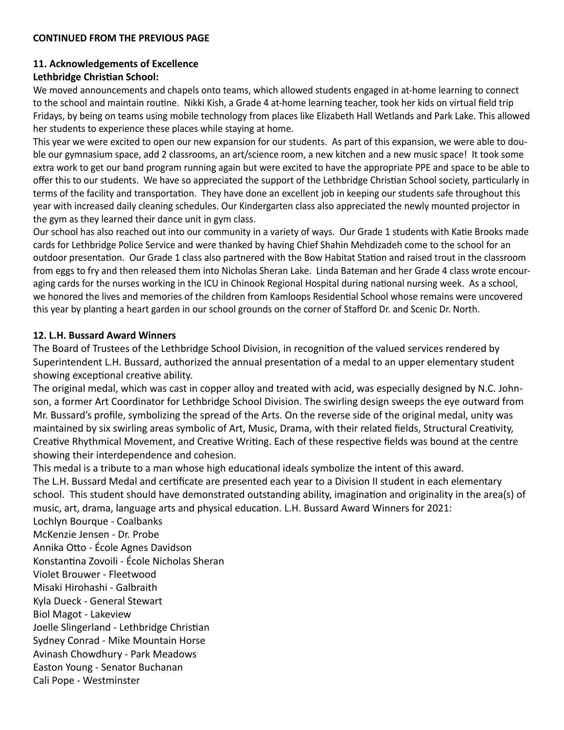# **11. Acknowledgements of Excellence**

# **Lethbridge Christian School:**

We moved announcements and chapels onto teams, which allowed students engaged in at-home learning to connect to the school and maintain routine. Nikki Kish, a Grade 4 at-home learning teacher, took her kids on virtual field trip Fridays, by being on teams using mobile technology from places like Elizabeth Hall Wetlands and Park Lake. This allowed her students to experience these places while staying at home.

This year we were excited to open our new expansion for our students. As part of this expansion, we were able to double our gymnasium space, add 2 classrooms, an art/science room, a new kitchen and a new music space! It took some extra work to get our band program running again but were excited to have the appropriate PPE and space to be able to offer this to our students. We have so appreciated the support of the Lethbridge Christian School society, particularly in terms of the facility and transportation. They have done an excellent job in keeping our students safe throughout this year with increased daily cleaning schedules. Our Kindergarten class also appreciated the newly mounted projector in the gym as they learned their dance unit in gym class.

Our school has also reached out into our community in a variety of ways. Our Grade 1 students with Katie Brooks made cards for Lethbridge Police Service and were thanked by having Chief Shahin Mehdizadeh come to the school for an outdoor presentation. Our Grade 1 class also partnered with the Bow Habitat Station and raised trout in the classroom from eggs to fry and then released them into Nicholas Sheran Lake. Linda Bateman and her Grade 4 class wrote encouraging cards for the nurses working in the ICU in Chinook Regional Hospital during national nursing week. As a school, we honored the lives and memories of the children from Kamloops Residential School whose remains were uncovered this year by planting a heart garden in our school grounds on the corner of Stafford Dr. and Scenic Dr. North.

# **12. L.H. Bussard Award Winners**

The Board of Trustees of the Lethbridge School Division, in recognition of the valued services rendered by Superintendent L.H. Bussard, authorized the annual presentation of a medal to an upper elementary student showing exceptional creative ability.

The original medal, which was cast in copper alloy and treated with acid, was especially designed by N.C. Johnson, a former Art Coordinator for Lethbridge School Division. The swirling design sweeps the eye outward from Mr. Bussard's profile, symbolizing the spread of the Arts. On the reverse side of the original medal, unity was maintained by six swirling areas symbolic of Art, Music, Drama, with their related fields, Structural Creativity, Creative Rhythmical Movement, and Creative Writing. Each of these respective fields was bound at the centre showing their interdependence and cohesion.

This medal is a tribute to a man whose high educational ideals symbolize the intent of this award. The L.H. Bussard Medal and certificate are presented each year to a Division II student in each elementary school. This student should have demonstrated outstanding ability, imagination and originality in the area(s) of music, art, drama, language arts and physical education. L.H. Bussard Award Winners for 2021:

Lochlyn Bourque - Coalbanks McKenzie Jensen - Dr. Probe Annika Otto - École Agnes Davidson Konstantina Zovoili - École Nicholas Sheran Violet Brouwer - Fleetwood Misaki Hirohashi - Galbraith Kyla Dueck - General Stewart Biol Magot - Lakeview Joelle Slingerland - Lethbridge Christian Sydney Conrad - Mike Mountain Horse Avinash Chowdhury - Park Meadows Easton Young - Senator Buchanan Cali Pope - Westminster